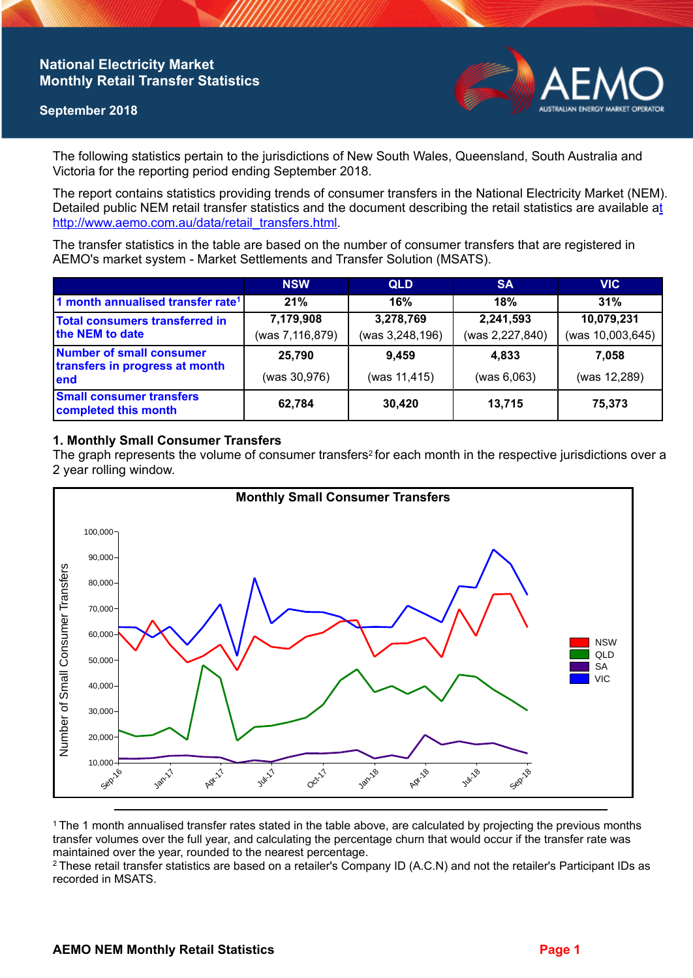## **National Electricity Market Monthly Retail Transfer Statistics**

### **September 2018**



The following statistics pertain to the jurisdictions of New South Wales, Queensland, South Australia and Victoria for the reporting period ending September 2018.

The report contains statistics providing trends of consumer transfers in the National Electricity Market (NEM). Detailed public NEM retail transfer statistics and the document describing the retail statistics are available a[t](http://www.aemo.com.au/data/retail_transfers.html)  http://www.aemo.com.au/data/retail\_transfers.html

The transfer statistics in the table are based on the number of consumer transfers that are registered in AEMO's market system - Market Settlements and Transfer Solution (MSATS).

|                                                                    | <b>NSW</b>      | <b>QLD</b>      | <b>SA</b>       | <b>VIC</b>       |
|--------------------------------------------------------------------|-----------------|-----------------|-----------------|------------------|
| 1 month annualised transfer rate <sup>1</sup>                      | 21%             | 16%             | 18%             | 31%              |
| <b>Total consumers transferred in</b><br>the NEM to date           | 7,179,908       | 3,278,769       | 2,241,593       | 10,079,231       |
|                                                                    | (was 7,116,879) | (was 3,248,196) | (was 2,227,840) | (was 10,003,645) |
| Number of small consumer<br>transfers in progress at month<br>lend | 25,790          | 9,459           | 4.833           | 7.058            |
|                                                                    | (was 30,976)    | (was 11,415)    | (was 6,063)     | (was 12,289)     |
| <b>Small consumer transfers</b><br>completed this month            | 62,784          | 30,420          | 13,715          | 75,373           |

### **1. Monthly Small Consumer Transfers**

The graph represents the volume of consumer transfers<sup>2</sup> for each month in the respective jurisdictions over a 2 year rolling window.



<sup>1</sup> The 1 month annualised transfer rates stated in the table above, are calculated by projecting the previous months transfer volumes over the full year, and calculating the percentage churn that would occur if the transfer rate was maintained over the year, rounded to the nearest percentage.

<sup>2</sup> These retail transfer statistics are based on a retailer's Company ID (A.C.N) and not the retailer's Participant IDs as recorded in MSATS.